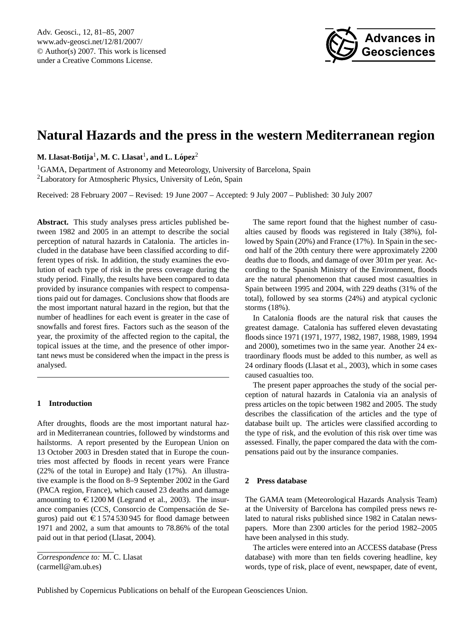

# <span id="page-0-0"></span>**Natural Hazards and the press in the western Mediterranean region**

 $\mathbf{M}.~\mathbf{L}$ lasat-Botija $^{1},\mathbf{M}.~\mathbf{C}.~\mathbf{L}$ lasat $^{1},$  and  $\mathbf{L}.~\mathbf{L}$ ópez $^{2}$ 

<sup>1</sup>GAMA, Department of Astronomy and Meteorology, University of Barcelona, Spain <sup>2</sup>Laboratory for Atmospheric Physics, University of León, Spain

Received: 28 February 2007 – Revised: 19 June 2007 – Accepted: 9 July 2007 – Published: 30 July 2007

**Abstract.** This study analyses press articles published between 1982 and 2005 in an attempt to describe the social perception of natural hazards in Catalonia. The articles included in the database have been classified according to different types of risk. In addition, the study examines the evolution of each type of risk in the press coverage during the study period. Finally, the results have been compared to data provided by insurance companies with respect to compensations paid out for damages. Conclusions show that floods are the most important natural hazard in the region, but that the number of headlines for each event is greater in the case of snowfalls and forest fires. Factors such as the season of the year, the proximity of the affected region to the capital, the topical issues at the time, and the presence of other important news must be considered when the impact in the press is analysed.

## **1 Introduction**

After droughts, floods are the most important natural hazard in Mediterranean countries, followed by windstorms and hailstorms. A report presented by the European Union on 13 October 2003 in Dresden stated that in Europe the countries most affected by floods in recent years were France (22% of the total in Europe) and Italy (17%). An illustrative example is the flood on 8–9 September 2002 in the Gard (PACA region, France), which caused 23 deaths and damage amounting to  $\epsilon$  1200 M (Legrand et al., 2003). The insurance companies (CCS, Consorcio de Compensación de Seguros) paid out  $\epsilon$  1 574 530 945 for flood damage between 1971 and 2002, a sum that amounts to 78.86% of the total paid out in that period (Llasat, 2004).

The same report found that the highest number of casualties caused by floods was registered in Italy (38%), followed by Spain (20%) and France (17%). In Spain in the second half of the 20th century there were approximately 2200 deaths due to floods, and damage of over 301m per year. According to the Spanish Ministry of the Environment, floods are the natural phenomenon that caused most casualties in Spain between 1995 and 2004, with 229 deaths (31% of the total), followed by sea storms (24%) and atypical cyclonic storms (18%).

In Catalonia floods are the natural risk that causes the greatest damage. Catalonia has suffered eleven devastating floods since 1971 (1971, 1977, 1982, 1987, 1988, 1989, 1994 and 2000), sometimes two in the same year. Another 24 extraordinary floods must be added to this number, as well as 24 ordinary floods (Llasat et al., 2003), which in some cases caused casualties too.

The present paper approaches the study of the social perception of natural hazards in Catalonia via an analysis of press articles on the topic between 1982 and 2005. The study describes the classification of the articles and the type of database built up. The articles were classified according to the type of risk, and the evolution of this risk over time was assessed. Finally, the paper compared the data with the compensations paid out by the insurance companies.

#### **2 Press database**

The GAMA team (Meteorological Hazards Analysis Team) at the University of Barcelona has compiled press news related to natural risks published since 1982 in Catalan newspapers. More than 2300 articles for the period 1982–2005 have been analysed in this study.

The articles were entered into an ACCESS database (Press database) with more than ten fields covering headline, key words, type of risk, place of event, newspaper, date of event,

*Correspondence to:* M. C. Llasat (carmell@am.ub.es)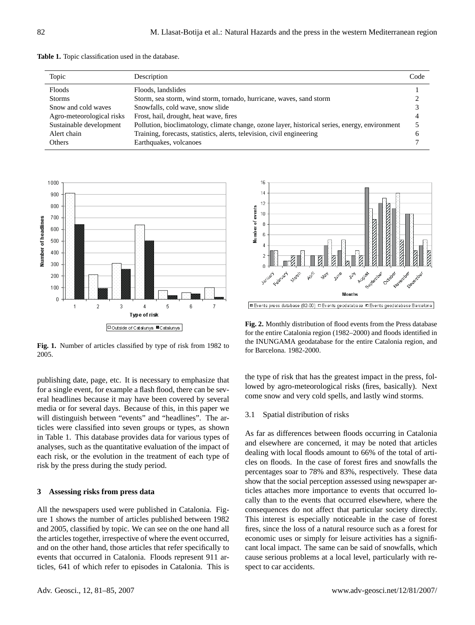|  |  | Table 1. Topic classification used in the database. |  |  |  |
|--|--|-----------------------------------------------------|--|--|--|
|--|--|-----------------------------------------------------|--|--|--|

| Topic                     | Description                                                                                    | Code |
|---------------------------|------------------------------------------------------------------------------------------------|------|
| Floods                    | Floods, landslides                                                                             |      |
| <b>Storms</b>             | Storm, sea storm, wind storm, tornado, hurricane, waves, sand storm                            |      |
| Snow and cold waves       | Snowfalls, cold wave, snow slide                                                               |      |
| Agro-meteorological risks | Frost, hail, drought, heat wave, fires                                                         |      |
| Sustainable development   | Pollution, bioclimatology, climate change, ozone layer, historical series, energy, environment |      |
| Alert chain               | Training, forecasts, statistics, alerts, television, civil engineering                         |      |
| Others                    | Earthquakes, volcanoes                                                                         |      |



**Fig. 1.** Number of articles classified by type of risk from 1982 to 2005.

publishing date, page, etc. It is necessary to emphasize that for a single event, for example a flash flood, there can be several headlines because it may have been covered by several media or for several days. Because of this, in this paper we will distinguish between "events" and "headlines". The articles were classified into seven groups or types, as shown in Table 1. This database provides data for various types of analyses, such as the quantitative evaluation of the impact of each risk, or the evolution in the treatment of each type of risk by the press during the study period.

#### **3 Assessing risks from press data**

All the newspapers used were published in Catalonia. Figure 1 shows the number of articles published between 1982 and 2005, classified by topic. We can see on the one hand all the articles together, irrespective of where the event occurred, and on the other hand, those articles that refer specifically to events that occurred in Catalonia. Floods represent 911 articles, 641 of which refer to episodes in Catalonia. This is



Events press database (82-00) D Events geodatabase Z Events geodatabase Barcelona

**Fig. 2.** Monthly distribution of flood events from the Press database for the entire Catalonia region (1982–2000) and floods identified in the INUNGAMA geodatabase for the entire Catalonia region, and for Barcelona. 1982-2000.

the type of risk that has the greatest impact in the press, followed by agro-meteorological risks (fires, basically). Next come snow and very cold spells, and lastly wind storms.

### 3.1 Spatial distribution of risks

As far as differences between floods occurring in Catalonia and elsewhere are concerned, it may be noted that articles dealing with local floods amount to 66% of the total of articles on floods. In the case of forest fires and snowfalls the percentages soar to 78% and 83%, respectively. These data show that the social perception assessed using newspaper articles attaches more importance to events that occurred locally than to the events that occurred elsewhere, where the consequences do not affect that particular society directly. This interest is especially noticeable in the case of forest fires, since the loss of a natural resource such as a forest for economic uses or simply for leisure activities has a significant local impact. The same can be said of snowfalls, which cause serious problems at a local level, particularly with respect to car accidents.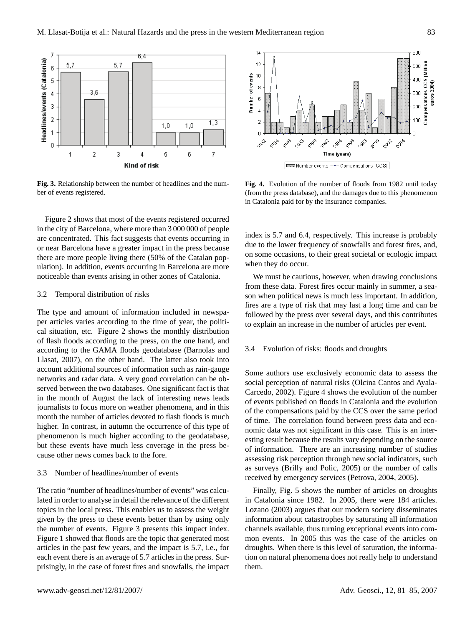

**Fig. 3.** Relationship between the number of headlines and the number of events registered.

Figure 2 shows that most of the events registered occurred in the city of Barcelona, where more than 3 000 000 of people are concentrated. This fact suggests that events occurring in or near Barcelona have a greater impact in the press because there are more people living there (50% of the Catalan population). In addition, events occurring in Barcelona are more noticeable than events arising in other zones of Catalonia.

#### 3.2 Temporal distribution of risks

The type and amount of information included in newspaper articles varies according to the time of year, the political situation, etc. Figure 2 shows the monthly distribution of flash floods according to the press, on the one hand, and according to the GAMA floods geodatabase (Barnolas and Llasat, 2007), on the other hand. The latter also took into account additional sources of information such as rain-gauge networks and radar data. A very good correlation can be observed between the two databases. One significant fact is that in the month of August the lack of interesting news leads journalists to focus more on weather phenomena, and in this month the number of articles devoted to flash floods is much higher. In contrast, in autumn the occurrence of this type of phenomenon is much higher according to the geodatabase, but these events have much less coverage in the press because other news comes back to the fore.

#### 3.3 Number of headlines/number of events

The ratio "number of headlines/number of events" was calculated in order to analyse in detail the relevance of the different topics in the local press. This enables us to assess the weight given by the press to these events better than by using only the number of events. Figure 3 presents this impact index. Figure 1 showed that floods are the topic that generated most articles in the past few years, and the impact is 5.7, i.e., for each event there is an average of 5.7 articles in the press. Surprisingly, in the case of forest fires and snowfalls, the impact



**Fig. 4.** Evolution of the number of floods from 1982 until today (from the press database), and the damages due to this phenomenon in Catalonia paid for by the insurance companies.

index is 5.7 and 6.4, respectively. This increase is probably due to the lower frequency of snowfalls and forest fires, and, on some occasions, to their great societal or ecologic impact when they do occur.

We must be cautious, however, when drawing conclusions from these data. Forest fires occur mainly in summer, a season when political news is much less important. In addition, fires are a type of risk that may last a long time and can be followed by the press over several days, and this contributes to explain an increase in the number of articles per event.

#### 3.4 Evolution of risks: floods and droughts

Some authors use exclusively economic data to assess the social perception of natural risks (Olcina Cantos and Ayala-Carcedo, 2002). Figure 4 shows the evolution of the number of events published on floods in Catalonia and the evolution of the compensations paid by the CCS over the same period of time. The correlation found between press data and economic data was not significant in this case. This is an interesting result because the results vary depending on the source of information. There are an increasing number of studies assessing risk perception through new social indicators, such as surveys (Brilly and Polic, 2005) or the number of calls received by emergency services (Petrova, 2004, 2005).

Finally, Fig. 5 shows the number of articles on droughts in Catalonia since 1982. In 2005, there were 184 articles. Lozano (2003) argues that our modern society disseminates information about catastrophes by saturating all information channels available, thus turning exceptional events into common events. In 2005 this was the case of the articles on droughts. When there is this level of saturation, the information on natural phenomena does not really help to understand them.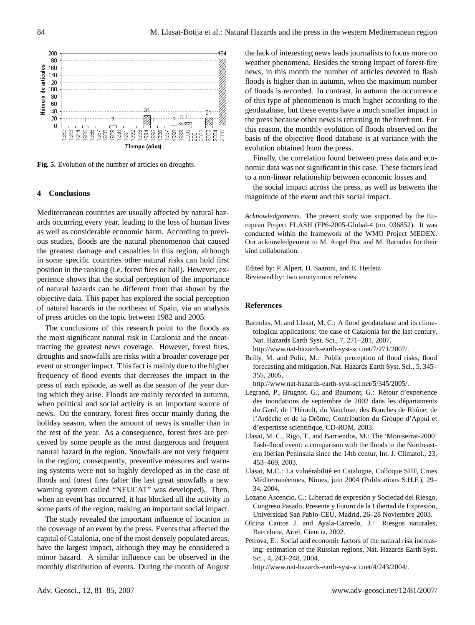

**Fig. 5.** Evolution of the number of articles on droughts.

#### **4 Conclusions**

Mediterranean countries are usually affected by natural hazards occurring every year, leading to the loss of human lives as well as considerable economic harm. According to previous studies, floods are the natural phenomenon that caused the greatest damage and casualties in this region, although in some specific countries other natural risks can hold first position in the ranking (i.e. forest fires or hail). However, experience shows that the social perception of the importance of natural hazards can be different from that shown by the objective data. This paper has explored the social perception of natural hazards in the northeast of Spain, via an analysis of press articles on the topic between 1982 and 2005.

The conclusions of this research point to the floods as the most significant natural risk in Catalonia and the oneattracting the greatest news coverage. However, forest fires, droughts and snowfalls are risks with a broader coverage per event or stronger impact. This fact is mainly due to the higher frequency of flood events that decreases the impact in the press of each episode, as well as the season of the year during which they arise. Floods are mainly recorded in autumn, when political and social activity is an important source of news. On the contrary, forest fires occur mainly during the holiday season, when the amount of news is smaller than in the rest of the year. As a consequence, forest fires are perceived by some people as the most dangerous and frequent natural hazard in the region. Snowfalls are not very frequent in the region; consequently, preventive measures and warning systems were not so highly developed as in the case of floods and forest fires (after the last great snowfalls a new warning system called "NEUCAT" was developed). Then, when an event has occurred, it has blocked all the activity in some parts of the region, making an important social impact.

The study revealed the important influence of location in the coverage of an event by the press. Events that affected the capital of Catalonia, one of the most densely populated areas, have the largest impact, although they may be considered a minor hazard. A similar influence can be observed in the monthly distribution of events. During the month of August the lack of interesting news leads journalists to focus more on weather phenomena. Besides the strong impact of forest-fire news, in this month the number of articles devoted to flash floods is higher than in autumn, when the maximum number of floods is recorded. In contrast, in autumn the occurrence of this type of phenomenon is much higher according to the geodatabase, but these events have a much smaller impact in the press because other news is returning to the forefront. For this reason, the monthly evolution of floods observed on the basis of the objective flood database is at variance with the evolution obtained from the press.

Finally, the correlation found between press data and economic data was not significant in this case. These factors lead to a non-linear relationship between economic losses and

the social impact across the press, as well as between the magnitude of the event and this social impact.

*Acknowledgements.* The present study was supported by the European Project FLASH (FP6-2005-Global-4 (no. 036852). It was conducted within the framework of the WMO Project MEDEX. Our acknowledgement to M. Angel Prat and M. Barnolas for their kind collaboration.

Edited by: P. Alpert, H. Saaroni, and E. Heifetz Reviewed by: two anonymous referees

#### **References**

- Barnolas, M. and Llasat, M. C.: A flood geodatabase and its climatological applications: the case of Catalonia for the last century, Nat. Hazards Earth Syst. Sci., 7, 271–281, 2007,
- [http://www.nat-hazards-earth-syst-sci.net/7/271/2007/.](http://www.nat-hazards-earth-syst-sci.net/7/271/2007/) Brilly, M. and Polic, M.: Public perception of flood risks, flood
- forecasting and mitigation, Nat. Hazards Earth Syst. Sci., 5, 345– 355, 2005,

[http://www.nat-hazards-earth-syst-sci.net/5/345/2005/.](http://www.nat-hazards-earth-syst-sci.net/5/345/2005/)

- Legrand, P., Brugnot, G., and Baumont, G.: Rétour d'experience des inondations de septembre de 2002 dans les départaments du Gard, de l'Hérault, du Vaucluse, des Bouches de Rhône, de l'Ardèche et de la Drôme, Contribution du Groupe d'Appui et d'expertisse scientifique, CD-ROM, 2003.
- Llasat, M. C., Rigo, T., and Barriendos, M.: The 'Montserrat-2000' flash-flood event: a comparison with the floods in the Northeastern Iberian Peninsula since the 14th centur, Int. J. Climatol., 23, 453–469, 2003.
- Llasat, M.C.: La vulnérabilité en Catalogne, Colloque SHF, Crues Méditerranéennes, Nimes, juin 2004 (Publications S.H.F.), 29– 34, 2004.
- Lozano Ascencio, C.: Libertad de expresión y Sociedad del Riesgo, Congreso Pasado, Presente y Futuro de la Libertad de Expresión, Universidad San Pablo-CEU, Madrid, 26–28 Noviembre 2003.
- Olcina Cantos J. and Ayala-Carcedo, J.: Riesgos naturales, Barcelona, Ariel, Ciencia, 2002.
- Petrova, E.: Social and economic factors of the natural risk increasing: estimation of the Russian regions, Nat. Hazards Earth Syst. Sci., 4, 243–248, 2004,

[http://www.nat-hazards-earth-syst-sci.net/4/243/2004/.](http://www.nat-hazards-earth-syst-sci.net/4/243/2004/)